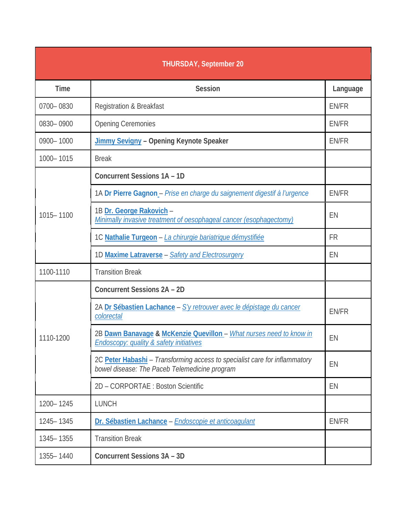| <b>THURSDAY, September 20</b> |                                                                                                                             |              |
|-------------------------------|-----------------------------------------------------------------------------------------------------------------------------|--------------|
| <b>Time</b>                   | <b>Session</b>                                                                                                              | Language     |
| 0700-0830                     | <b>Registration &amp; Breakfast</b>                                                                                         | EN/FR        |
| 0830-0900                     | <b>Opening Ceremonies</b>                                                                                                   | EN/FR        |
| 0900-1000                     | <b>Jimmy Sevigny - Opening Keynote Speaker</b>                                                                              | <b>EN/FR</b> |
| 1000-1015                     | <b>Break</b>                                                                                                                |              |
|                               | <b>Concurrent Sessions 1A - 1D</b>                                                                                          |              |
|                               | 1A Dr Pierre Gagnon - Prise en charge du saignement digestif à l'urgence                                                    | EN/FR        |
| 1015-1100                     | 1B Dr. George Rakovich -<br>Minimally invasive treatment of oesophageal cancer (esophagectomy)                              | EN           |
|                               | 1C Nathalie Turgeon - La chirurgie bariatrique démystifiée                                                                  | <b>FR</b>    |
|                               | 1D Maxime Latraverse - Safety and Electrosurgery                                                                            | EN           |
| 1100-1110                     | <b>Transition Break</b>                                                                                                     |              |
|                               | <b>Concurrent Sessions 2A - 2D</b>                                                                                          |              |
| 1110-1200                     | 2A Dr Sébastien Lachance - S'y retrouver avec le dépistage du cancer<br>colorectal                                          | EN/FR        |
|                               | 2B Dawn Banavage & McKenzie Quevillon - What nurses need to know in<br><b>Endoscopy: quality &amp; safety initiatives</b>   | EN           |
|                               | 2C Peter Habashi - Transforming access to specialist care for inflammatory<br>bowel disease: The Paceb Telemedicine program | EN           |
|                               | 2D - CORPORTAE : Boston Scientific                                                                                          | EN           |
| 1200-1245                     | <b>LUNCH</b>                                                                                                                |              |
| 1245 - 1345                   | Dr. Sébastien Lachance - Endoscopie et anticoagulant                                                                        | EN/FR        |
| 1345 - 1355                   | <b>Transition Break</b>                                                                                                     |              |
| 1355-1440                     | <b>Concurrent Sessions 3A - 3D</b>                                                                                          |              |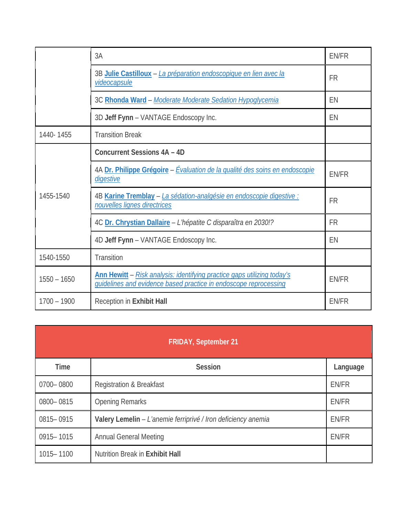|               | 3A                                                                                                                                                 | <b>EN/FR</b> |
|---------------|----------------------------------------------------------------------------------------------------------------------------------------------------|--------------|
|               | 3B Julie Castilloux - La préparation endoscopique en lien avec la<br>videocapsule                                                                  | <b>FR</b>    |
|               | 3C Rhonda Ward - Moderate Moderate Sedation Hypoglycemia                                                                                           | EN           |
|               | 3D Jeff Fynn - VANTAGE Endoscopy Inc.                                                                                                              | EN           |
| 1440-1455     | <b>Transition Break</b>                                                                                                                            |              |
|               | <b>Concurrent Sessions 4A - 4D</b>                                                                                                                 |              |
| 1455-1540     | 4A Dr. Philippe Grégoire - Évaluation de la qualité des soins en endoscopie<br>digestive                                                           | <b>EN/FR</b> |
|               | 4B Karine Tremblay - La sédation-analgésie en endoscopie digestive :<br>nouvelles lignes directrices                                               | <b>FR</b>    |
|               | 4C Dr. Chrystian Dallaire - L'hépatite C disparaîtra en 2030!?                                                                                     | <b>FR</b>    |
|               | 4D Jeff Fynn - VANTAGE Endoscopy Inc.                                                                                                              | EN           |
| 1540-1550     | Transition                                                                                                                                         |              |
| $1550 - 1650$ | <b>Ann Hewitt</b> - Risk analysis: identifying practice gaps utilizing today's<br>quidelines and evidence based practice in endoscope reprocessing | <b>EN/FR</b> |
| $1700 - 1900$ | Reception in Exhibit Hall                                                                                                                          | <b>EN/FR</b> |

| <b>FRIDAY, September 21</b> |                                                               |              |  |
|-----------------------------|---------------------------------------------------------------|--------------|--|
| <b>Time</b>                 | <b>Session</b>                                                | Language     |  |
| 0700-0800                   | <b>Registration &amp; Breakfast</b>                           | EN/FR        |  |
| 0800-0815                   | <b>Opening Remarks</b>                                        | EN/FR        |  |
| 0815-0915                   | Valery Lemelin - L'anemie ferriprivé / Iron deficiency anemia | <b>EN/FR</b> |  |
| 0915-1015                   | <b>Annual General Meeting</b>                                 | EN/FR        |  |
| 1015-1100                   | Nutrition Break in Exhibit Hall                               |              |  |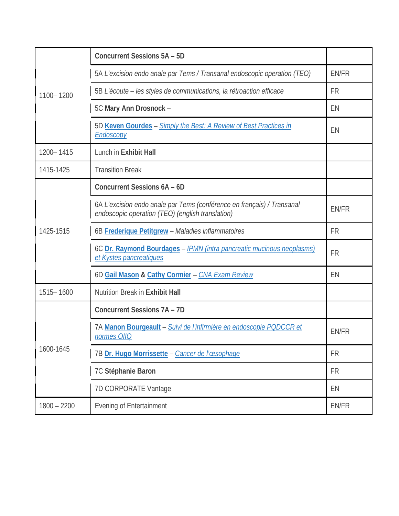| 1100-1200     | <b>Concurrent Sessions 5A - 5D</b>                                                                                         |           |
|---------------|----------------------------------------------------------------------------------------------------------------------------|-----------|
|               | 5A L'excision endo anale par Tems / Transanal endoscopic operation (TEO)                                                   | EN/FR     |
|               | 5B L'écoute – les styles de communications, la rétroaction efficace                                                        | <b>FR</b> |
|               | 5C Mary Ann Drosnock -                                                                                                     | EN        |
|               | 5D Keven Gourdes - Simply the Best: A Review of Best Practices in<br>Endoscopy                                             | EN        |
| 1200-1415     | Lunch in Exhibit Hall                                                                                                      |           |
| 1415-1425     | <b>Transition Break</b>                                                                                                    |           |
|               | Concurrent Sessions 6A - 6D                                                                                                |           |
|               | 6A L'excision endo anale par Tems (conférence en français) / Transanal<br>endoscopic operation (TEO) (english translation) | EN/FR     |
| 1425-1515     | 6B Frederique Petitgrew - Maladies inflammatoires                                                                          | <b>FR</b> |
|               | 6C Dr. Raymond Bourdages - IPMN (intra pancreatic mucinous neoplasms)<br>et Kystes pancreatiques                           | <b>FR</b> |
|               | 6D Gail Mason & Cathy Cormier - CNA Exam Review                                                                            | EN        |
| 1515-1600     | <b>Nutrition Break in Exhibit Hall</b>                                                                                     |           |
| 1600-1645     | <b>Concurrent Sessions 7A - 7D</b>                                                                                         |           |
|               | 7A Manon Bourgeault - Suivi de l'infirmière en endoscopie PQDCCR et<br>normes OIIQ                                         | EN/FR     |
|               | 7B Dr. Hugo Morrissette - Cancer de l'œsophage                                                                             | <b>FR</b> |
|               | 7C Stéphanie Baron                                                                                                         | <b>FR</b> |
|               | 7D CORPORATE Vantage                                                                                                       | EN        |
| $1800 - 2200$ | <b>Evening of Entertainment</b>                                                                                            | EN/FR     |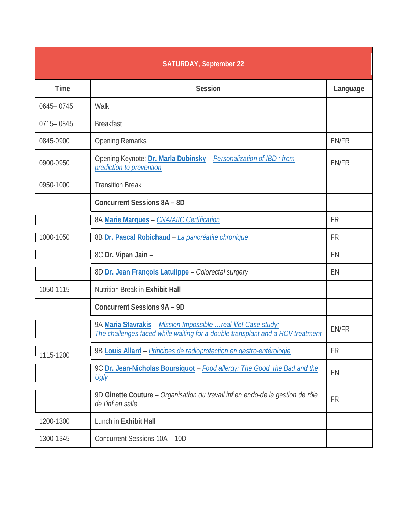| <b>SATURDAY, September 22</b> |                                                                                                                                                   |           |
|-------------------------------|---------------------------------------------------------------------------------------------------------------------------------------------------|-----------|
| <b>Time</b>                   | <b>Session</b>                                                                                                                                    | Language  |
| 0645-0745                     | Walk                                                                                                                                              |           |
| 0715-0845                     | <b>Breakfast</b>                                                                                                                                  |           |
| 0845-0900                     | <b>Opening Remarks</b>                                                                                                                            | EN/FR     |
| 0900-0950                     | Opening Keynote: Dr. Marla Dubinsky - Personalization of IBD : from<br>prediction to prevention                                                   | EN/FR     |
| 0950-1000                     | <b>Transition Break</b>                                                                                                                           |           |
|                               | <b>Concurrent Sessions 8A - 8D</b>                                                                                                                |           |
|                               | 8A Marie Marques - CNA/AIIC Certification                                                                                                         | <b>FR</b> |
| 1000-1050                     | 8B Dr. Pascal Robichaud - La pancréatite chronique                                                                                                | <b>FR</b> |
|                               | 8C Dr. Vipan Jain -                                                                                                                               | EN        |
|                               | 8D Dr. Jean François Latulippe - Colorectal surgery                                                                                               | EN        |
| 1050-1115                     | <b>Nutrition Break in Exhibit Hall</b>                                                                                                            |           |
|                               | <b>Concurrent Sessions 9A - 9D</b>                                                                                                                |           |
|                               | 9A Maria Stavrakis - Mission Impossible  real life! Case study:<br>The challenges faced while waiting for a double transplant and a HCV treatment | EN/FR     |
| 1115-1200                     | 9B Louis Allard - Principes de radioprotection en gastro-entérologie                                                                              | <b>FR</b> |
|                               | 9C Dr. Jean-Nicholas Boursiquot - Food allergy: The Good, the Bad and the<br><u>Ugly</u>                                                          | EN        |
|                               | 9D Ginette Couture - Organisation du travail inf en endo-de la gestion de rôle<br>de l'inf en salle                                               | <b>FR</b> |
| 1200-1300                     | Lunch in Exhibit Hall                                                                                                                             |           |
| 1300-1345                     | Concurrent Sessions 10A - 10D                                                                                                                     |           |